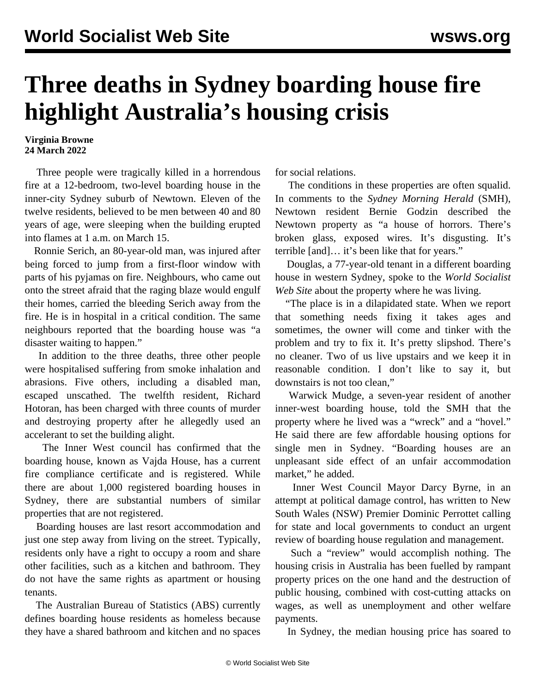## **Three deaths in Sydney boarding house fire highlight Australia's housing crisis**

## **Virginia Browne 24 March 2022**

 Three people were tragically killed in a horrendous fire at a 12-bedroom, two-level boarding house in the inner-city Sydney suburb of Newtown. Eleven of the twelve residents, believed to be men between 40 and 80 years of age, were sleeping when the building erupted into flames at 1 a.m. on March 15.

 Ronnie Serich, an 80-year-old man, was injured after being forced to jump from a first-floor window with parts of his pyjamas on fire. Neighbours, who came out onto the street afraid that the raging blaze would engulf their homes, carried the bleeding Serich away from the fire. He is in hospital in a critical condition. The same neighbours reported that the boarding house was "a disaster waiting to happen."

 In addition to the three deaths, three other people were hospitalised suffering from smoke inhalation and abrasions. Five others, including a disabled man, escaped unscathed. The twelfth resident, Richard Hotoran, has been charged with three counts of murder and destroying property after he allegedly used an accelerant to set the building alight.

 The Inner West council has confirmed that the boarding house, known as Vajda House, has a current fire compliance certificate and is registered. While there are about 1,000 registered boarding houses in Sydney, there are substantial numbers of similar properties that are not registered.

 Boarding houses are last resort accommodation and just one step away from living on the street. Typically, residents only have a right to occupy a room and share other facilities, such as a kitchen and bathroom. They do not have the same rights as apartment or housing tenants.

 The Australian Bureau of Statistics (ABS) currently defines boarding house residents as homeless because they have a shared bathroom and kitchen and no spaces

for social relations.

 The conditions in these properties are often squalid. In comments to the *Sydney Morning Herald* (SMH), Newtown resident Bernie Godzin described the Newtown property as "a house of horrors. There's broken glass, exposed wires. It's disgusting. It's terrible [and]… it's been like that for years."

 Douglas, a 77-year-old tenant in a different boarding house in western Sydney, spoke to the *World Socialist Web Site* about the property where he was living.

 "The place is in a dilapidated state. When we report that something needs fixing it takes ages and sometimes, the owner will come and tinker with the problem and try to fix it. It's pretty slipshod. There's no cleaner. Two of us live upstairs and we keep it in reasonable condition. I don't like to say it, but downstairs is not too clean,"

 Warwick Mudge, a seven-year resident of another inner-west boarding house, told the SMH that the property where he lived was a "wreck" and a "hovel." He said there are few affordable housing options for single men in Sydney. "Boarding houses are an unpleasant side effect of an unfair accommodation market," he added.

 Inner West Council Mayor Darcy Byrne, in an attempt at political damage control, has written to New South Wales (NSW) Premier Dominic Perrottet calling for state and local governments to conduct an urgent review of boarding house regulation and management.

 Such a "review" would accomplish nothing. The housing crisis in Australia has been fuelled by rampant property prices on the one hand and the destruction of public housing, combined with cost-cutting attacks on wages, as well as unemployment and other welfare payments.

In Sydney, the median housing price has soared to